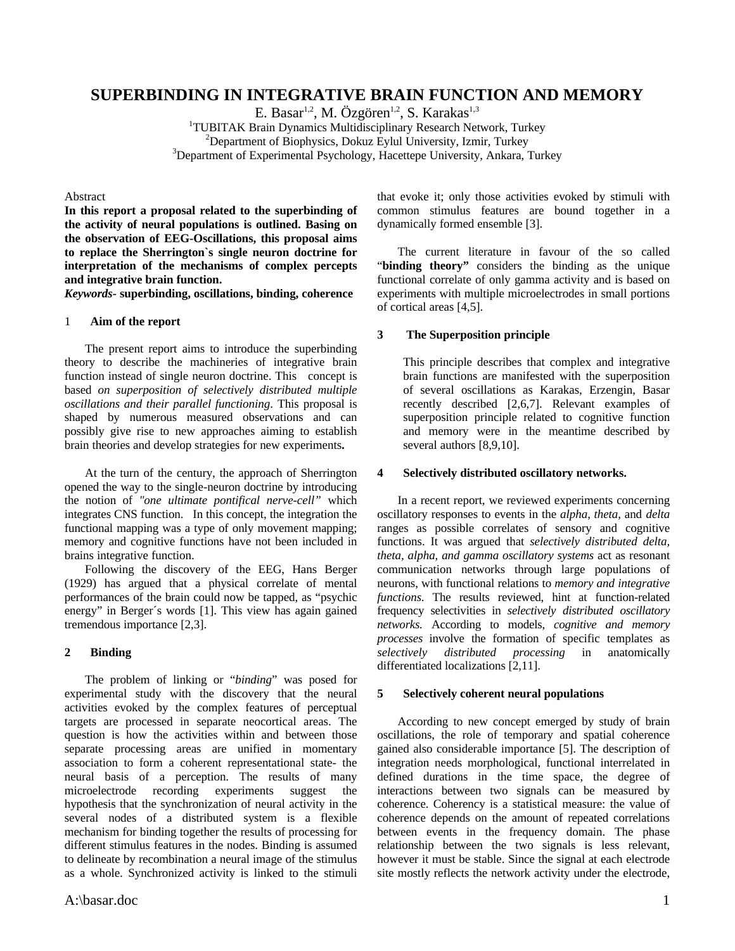# **SUPERBINDING IN INTEGRATIVE BRAIN FUNCTION AND MEMORY**

E. Basar<sup>1,2</sup>, M. Özgören<sup>1,2</sup>, S. Karakas<sup>1,3</sup> <sup>1</sup>TUBITAK Brain Dynamics Multidisciplinary Research Network, Turkey <sup>2</sup>Department of Biophysics, Dokuz Eylul University, Izmir, Turkey <sup>3</sup>Department of Experimental Psychology, Hacettepe University, Ankara, Turkey

#### Abstract

**In this report a proposal related to the superbinding of the activity of neural populations is outlined. Basing on the observation of EEG-Oscillations, this proposal aims to replace the Sherrington`s single neuron doctrine for interpretation of the mechanisms of complex percepts and integrative brain function.**

*Keywords-* **superbinding, oscillations, binding, coherence**

#### 1 **Aim of the report**

The present report aims to introduce the superbinding theory to describe the machineries of integrative brain function instead of single neuron doctrine. This concept is based *on superposition of selectively distributed multiple oscillations and their parallel functioning*. This proposal is shaped by numerous measured observations and can possibly give rise to new approaches aiming to establish brain theories and develop strategies for new experiments**.**

At the turn of the century, the approach of Sherrington opened the way to the single-neuron doctrine by introducing the notion of *"one ultimate pontifical nerve-cell"* which integrates CNS function. In this concept, the integration the functional mapping was a type of only movement mapping; memory and cognitive functions have not been included in brains integrative function.

Following the discovery of the EEG, Hans Berger (1929) has argued that a physical correlate of mental performances of the brain could now be tapped, as "psychic energy" in Berger´s words [1]. This view has again gained tremendous importance [2,3].

#### **2 Binding**

The problem of linking or "*binding*" was posed for experimental study with the discovery that the neural activities evoked by the complex features of perceptual targets are processed in separate neocortical areas. The question is how the activities within and between those separate processing areas are unified in momentary association to form a coherent representational state- the neural basis of a perception. The results of many microelectrode recording experiments suggest the hypothesis that the synchronization of neural activity in the several nodes of a distributed system is a flexible mechanism for binding together the results of processing for different stimulus features in the nodes. Binding is assumed to delineate by recombination a neural image of the stimulus as a whole. Synchronized activity is linked to the stimuli

that evoke it; only those activities evoked by stimuli with common stimulus features are bound together in a dynamically formed ensemble [3].

The current literature in favour of the so called "**binding theory"** considers the binding as the unique functional correlate of only gamma activity and is based on experiments with multiple microelectrodes in small portions of cortical areas [4,5].

## **3 The Superposition principle**

This principle describes that complex and integrative brain functions are manifested with the superposition of several oscillations as Karakas, Erzengin, Basar recently described [2,6,7]. Relevant examples of superposition principle related to cognitive function and memory were in the meantime described by several authors [8,9,10].

#### **4 Selectively distributed oscillatory networks.**

In a recent report, we reviewed experiments concerning oscillatory responses to events in the *alpha*, *theta,* and *delta* ranges as possible correlates of sensory and cognitive functions. It was argued that *selectively distributed delta, theta, alpha, and gamma oscillatory systems* act as resonant communication networks through large populations of neurons, with functional relations to *memory and integrative functions.* The results reviewed, hint at function-related frequency selectivities in *selectively distributed oscillatory networks.* According to models, *cognitive and memory processes* involve the formation of specific templates as *selectively distributed processing* in anatomically differentiated localizations [2,11].

#### **5 Selectively coherent neural populations**

According to new concept emerged by study of brain oscillations, the role of temporary and spatial coherence gained also considerable importance [5]. The description of integration needs morphological, functional interrelated in defined durations in the time space, the degree of interactions between two signals can be measured by coherence. Coherency is a statistical measure: the value of coherence depends on the amount of repeated correlations between events in the frequency domain. The phase relationship between the two signals is less relevant, however it must be stable. Since the signal at each electrode site mostly reflects the network activity under the electrode,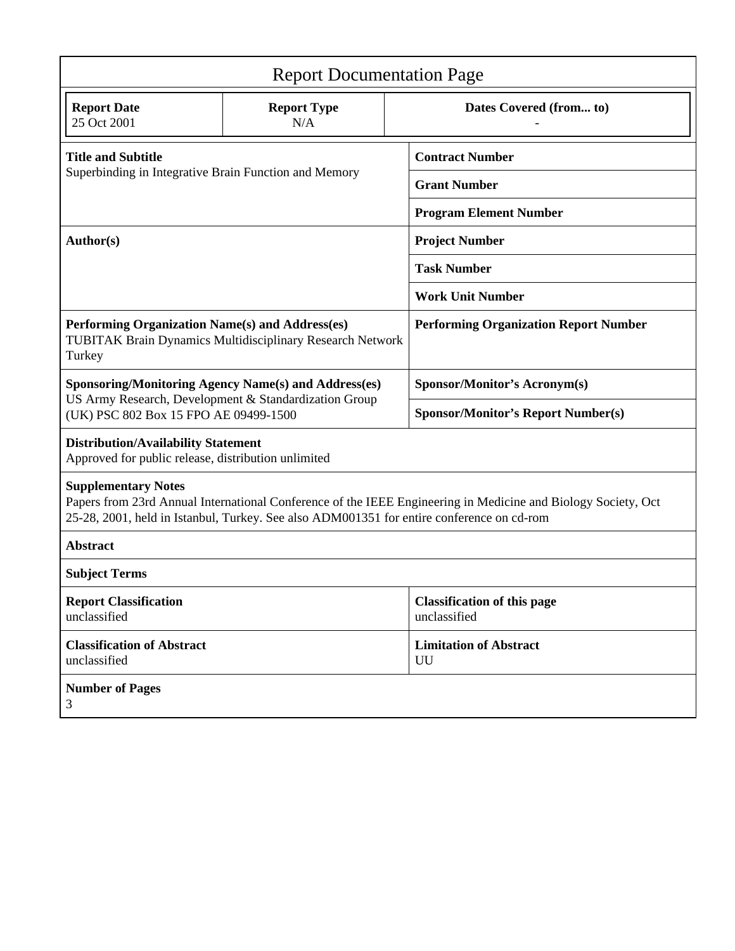| <b>Report Documentation Page</b>                                                                                                                                                                                                         |                           |  |                                                    |  |
|------------------------------------------------------------------------------------------------------------------------------------------------------------------------------------------------------------------------------------------|---------------------------|--|----------------------------------------------------|--|
| <b>Report Date</b><br>25 Oct 2001                                                                                                                                                                                                        | <b>Report Type</b><br>N/A |  | Dates Covered (from to)                            |  |
| <b>Title and Subtitle</b>                                                                                                                                                                                                                |                           |  | <b>Contract Number</b>                             |  |
| Superbinding in Integrative Brain Function and Memory                                                                                                                                                                                    |                           |  | <b>Grant Number</b>                                |  |
|                                                                                                                                                                                                                                          |                           |  | <b>Program Element Number</b>                      |  |
| Author(s)                                                                                                                                                                                                                                |                           |  | <b>Project Number</b>                              |  |
|                                                                                                                                                                                                                                          |                           |  | <b>Task Number</b>                                 |  |
|                                                                                                                                                                                                                                          |                           |  | <b>Work Unit Number</b>                            |  |
| Performing Organization Name(s) and Address(es)<br>TUBITAK Brain Dynamics Multidisciplinary Research Network<br>Turkey                                                                                                                   |                           |  | <b>Performing Organization Report Number</b>       |  |
| <b>Sponsoring/Monitoring Agency Name(s) and Address(es)</b><br>US Army Research, Development & Standardization Group<br>(UK) PSC 802 Box 15 FPO AE 09499-1500                                                                            |                           |  | <b>Sponsor/Monitor's Acronym(s)</b>                |  |
|                                                                                                                                                                                                                                          |                           |  | <b>Sponsor/Monitor's Report Number(s)</b>          |  |
| <b>Distribution/Availability Statement</b><br>Approved for public release, distribution unlimited                                                                                                                                        |                           |  |                                                    |  |
| <b>Supplementary Notes</b><br>Papers from 23rd Annual International Conference of the IEEE Engineering in Medicine and Biology Society, Oct<br>25-28, 2001, held in Istanbul, Turkey. See also ADM001351 for entire conference on cd-rom |                           |  |                                                    |  |
| <b>Abstract</b>                                                                                                                                                                                                                          |                           |  |                                                    |  |
| <b>Subject Terms</b>                                                                                                                                                                                                                     |                           |  |                                                    |  |
| <b>Report Classification</b><br>unclassified                                                                                                                                                                                             |                           |  | <b>Classification of this page</b><br>unclassified |  |
| <b>Classification of Abstract</b><br>unclassified                                                                                                                                                                                        |                           |  | <b>Limitation of Abstract</b><br>UU                |  |
| <b>Number of Pages</b><br>3                                                                                                                                                                                                              |                           |  |                                                    |  |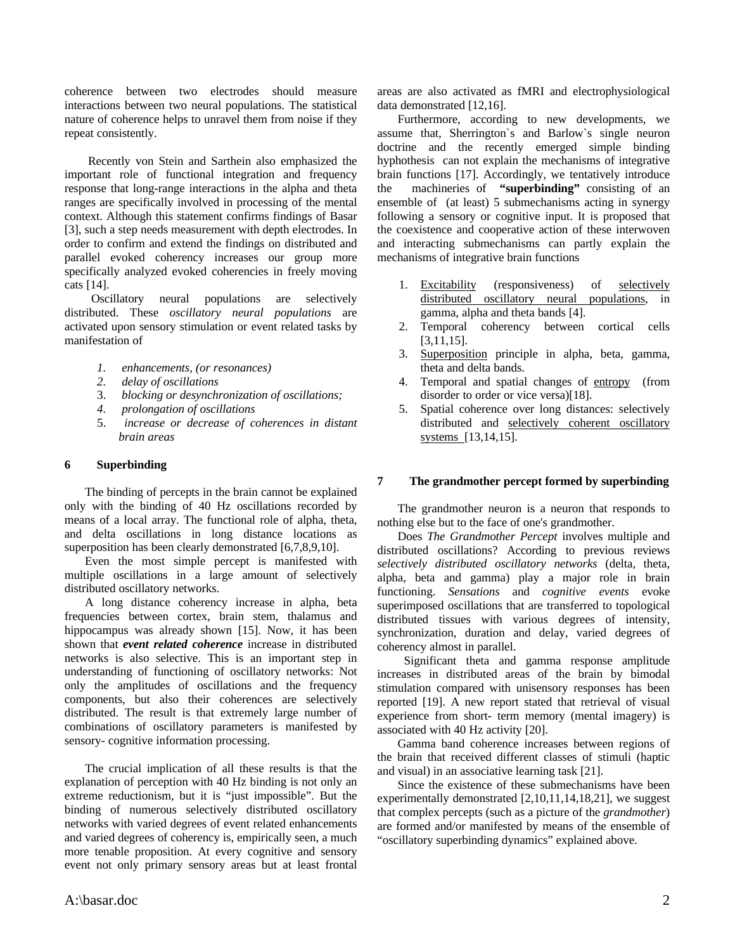coherence between two electrodes should measure interactions between two neural populations. The statistical nature of coherence helps to unravel them from noise if they repeat consistently.

 Recently von Stein and Sarthein also emphasized the important role of functional integration and frequency response that long-range interactions in the alpha and theta ranges are specifically involved in processing of the mental context. Although this statement confirms findings of Basar [3], such a step needs measurement with depth electrodes. In order to confirm and extend the findings on distributed and parallel evoked coherency increases our group more specifically analyzed evoked coherencies in freely moving cats [14].

 Oscillatory neural populations are selectively distributed. These *oscillatory neural populations* are activated upon sensory stimulation or event related tasks by manifestation of

- *1. enhancements, (or resonances)*
- *2. delay of oscillations*
- 3. *blocking or desynchronization of oscillations;*
- *4. prolongation of oscillations*
- 5. *increase or decrease of coherences in distant brain areas*

## **6 Superbinding**

The binding of percepts in the brain cannot be explained only with the binding of 40 Hz oscillations recorded by means of a local array. The functional role of alpha, theta, and delta oscillations in long distance locations as superposition has been clearly demonstrated [6,7,8,9,10].

Even the most simple percept is manifested with multiple oscillations in a large amount of selectively distributed oscillatory networks.

A long distance coherency increase in alpha, beta frequencies between cortex, brain stem, thalamus and hippocampus was already shown [15]. Now, it has been shown that *event related coherence* increase in distributed networks is also selective. This is an important step in understanding of functioning of oscillatory networks: Not only the amplitudes of oscillations and the frequency components, but also their coherences are selectively distributed. The result is that extremely large number of combinations of oscillatory parameters is manifested by sensory- cognitive information processing.

The crucial implication of all these results is that the explanation of perception with 40 Hz binding is not only an extreme reductionism, but it is "just impossible". But the binding of numerous selectively distributed oscillatory networks with varied degrees of event related enhancements and varied degrees of coherency is, empirically seen, a much more tenable proposition. At every cognitive and sensory event not only primary sensory areas but at least frontal areas are also activated as fMRI and electrophysiological data demonstrated [12,16].

Furthermore, according to new developments, we assume that, Sherrington`s and Barlow`s single neuron doctrine and the recently emerged simple binding hyphothesis can not explain the mechanisms of integrative brain functions [17]. Accordingly, we tentatively introduce the machineries of **"superbinding"** consisting of an ensemble of (at least) 5 submechanisms acting in synergy following a sensory or cognitive input. It is proposed that the coexistence and cooperative action of these interwoven and interacting submechanisms can partly explain the mechanisms of integrative brain functions

- 1. Excitability (responsiveness) of selectively distributed oscillatory neural populations, in gamma, alpha and theta bands [4].
- 2. Temporal coherency between cortical cells [3,11,15].
- 3. Superposition principle in alpha, beta, gamma, theta and delta bands.
- 4. Temporal and spatial changes of entropy (from disorder to order or vice versa)[18].
- 5. Spatial coherence over long distances: selectively distributed and selectively coherent oscillatory systems [13,14,15].

## **7 The grandmother percept formed by superbinding**

The grandmother neuron is a neuron that responds to nothing else but to the face of one's grandmother.

Does *The Grandmother Percept* involves multiple and distributed oscillations? According to previous reviews *selectively distributed oscillatory networks* (delta, theta, alpha, beta and gamma) play a major role in brain functioning. *Sensations* and *cognitive events* evoke superimposed oscillations that are transferred to topological distributed tissues with various degrees of intensity, synchronization, duration and delay, varied degrees of coherency almost in parallel.

 Significant theta and gamma response amplitude increases in distributed areas of the brain by bimodal stimulation compared with unisensory responses has been reported [19]. A new report stated that retrieval of visual experience from short- term memory (mental imagery) is associated with 40 Hz activity [20].

Gamma band coherence increases between regions of the brain that received different classes of stimuli (haptic and visual) in an associative learning task [21].

Since the existence of these submechanisms have been experimentally demonstrated [2,10,11,14,18,21], we suggest that complex percepts (such as a picture of the *grandmother*) are formed and/or manifested by means of the ensemble of "oscillatory superbinding dynamics" explained above.